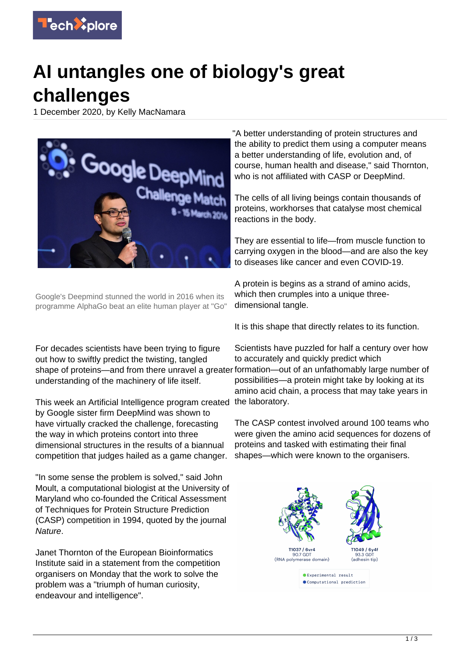

## **AI untangles one of biology's great challenges**

1 December 2020, by Kelly MacNamara



Google's Deepmind stunned the world in 2016 when its programme AlphaGo beat an elite human player at "Go"

For decades scientists have been trying to figure out how to swiftly predict the twisting, tangled shape of proteins—and from there unravel a greater formation—out of an unfathomably large number of understanding of the machinery of life itself.

This week an Artificial Intelligence program created the laboratory. by Google sister firm DeepMind was shown to have virtually cracked the challenge, forecasting the way in which proteins contort into three dimensional structures in the results of a biannual competition that judges hailed as a game changer.

"In some sense the problem is solved," said John Moult, a computational biologist at the University of Maryland who co-founded the Critical Assessment of Techniques for Protein Structure Prediction (CASP) competition in 1994, quoted by the journal Nature.

Janet Thornton of the European Bioinformatics Institute said in a statement from the competition organisers on Monday that the work to solve the problem was a "triumph of human curiosity, endeavour and intelligence".

"A better understanding of protein structures and the ability to predict them using a computer means a better understanding of life, evolution and, of course, human health and disease," said Thornton, who is not affiliated with CASP or DeepMind.

The cells of all living beings contain thousands of proteins, workhorses that catalyse most chemical reactions in the body.

They are essential to life—from muscle function to carrying oxygen in the blood—and are also the key to diseases like cancer and even COVID-19.

A protein is begins as a strand of amino acids, which then crumples into a unique threedimensional tangle.

It is this shape that directly relates to its function.

Scientists have puzzled for half a century over how to accurately and quickly predict which possibilities—a protein might take by looking at its amino acid chain, a process that may take years in

The CASP contest involved around 100 teams who were given the amino acid sequences for dozens of proteins and tasked with estimating their final shapes—which were known to the organisers.

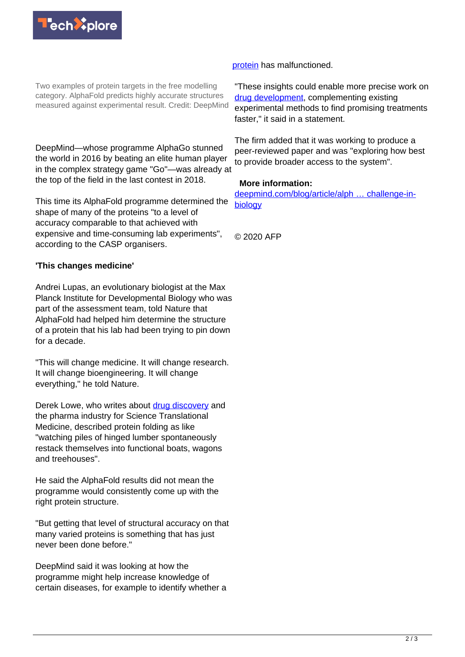

Two examples of protein targets in the free modelling category. AlphaFold predicts highly accurate structures measured against experimental result. Credit: DeepMind

DeepMind—whose programme AlphaGo stunned the world in 2016 by beating an elite human player in the complex strategy game "Go"—was already at the top of the field in the last contest in 2018.

This time its AlphaFold programme determined the shape of many of the proteins "to a level of accuracy comparable to that achieved with expensive and time-consuming lab experiments", according to the CASP organisers.

## **'This changes medicine'**

Andrei Lupas, an evolutionary biologist at the Max Planck Institute for Developmental Biology who was part of the assessment team, told Nature that AlphaFold had helped him determine the structure of a protein that his lab had been trying to pin down for a decade.

"This will change medicine. It will change research. It will change bioengineering. It will change everything," he told Nature.

Derek Lowe, who writes about [drug discovery](https://techxplore.com/tags/drug+discovery/) and the pharma industry for Science Translational Medicine, described protein folding as like "watching piles of hinged lumber spontaneously restack themselves into functional boats, wagons and treehouses".

He said the AlphaFold results did not mean the programme would consistently come up with the right protein structure.

"But getting that level of structural accuracy on that many varied proteins is something that has just never been done before."

DeepMind said it was looking at how the programme might help increase knowledge of certain diseases, for example to identify whether a

[protein](https://techxplore.com/tags/protein/) has malfunctioned.

"These insights could enable more precise work on [drug development,](https://techxplore.com/tags/drug+development/) complementing existing experimental methods to find promising treatments faster," it said in a statement.

The firm added that it was working to produce a peer-reviewed paper and was "exploring how best to provide broader access to the system".

## **More information:**

[deepmind.com/blog/article/alph … challenge-in](https://deepmind.com/blog/article/alphafold-a-solution-to-a-50-year-old-grand-challenge-in-biology)[biology](https://deepmind.com/blog/article/alphafold-a-solution-to-a-50-year-old-grand-challenge-in-biology)

© 2020 AFP